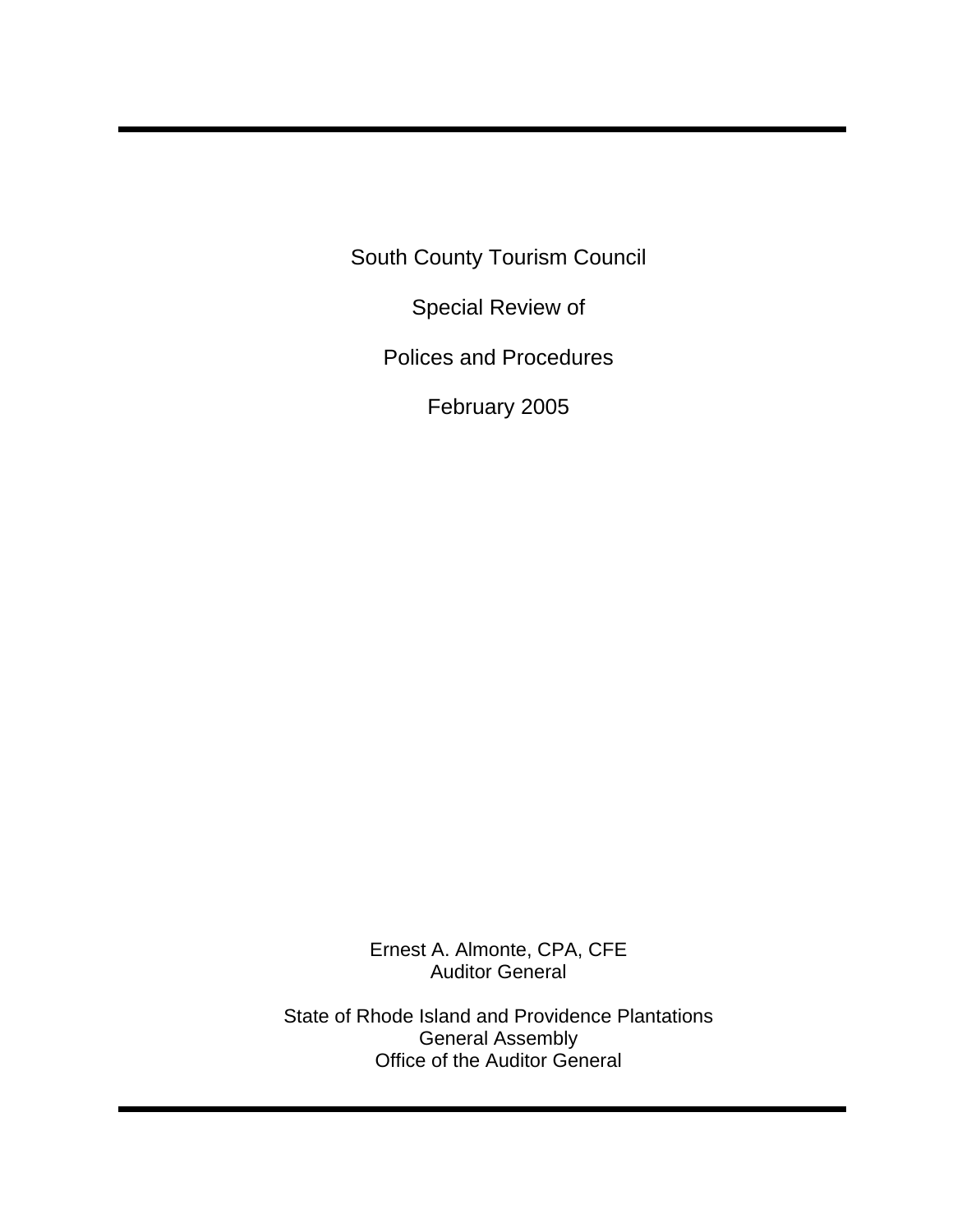South County Tourism Council

Special Review of

Polices and Procedures

February 2005

Ernest A. Almonte, CPA, CFE Auditor General

State of Rhode Island and Providence Plantations General Assembly Office of the Auditor General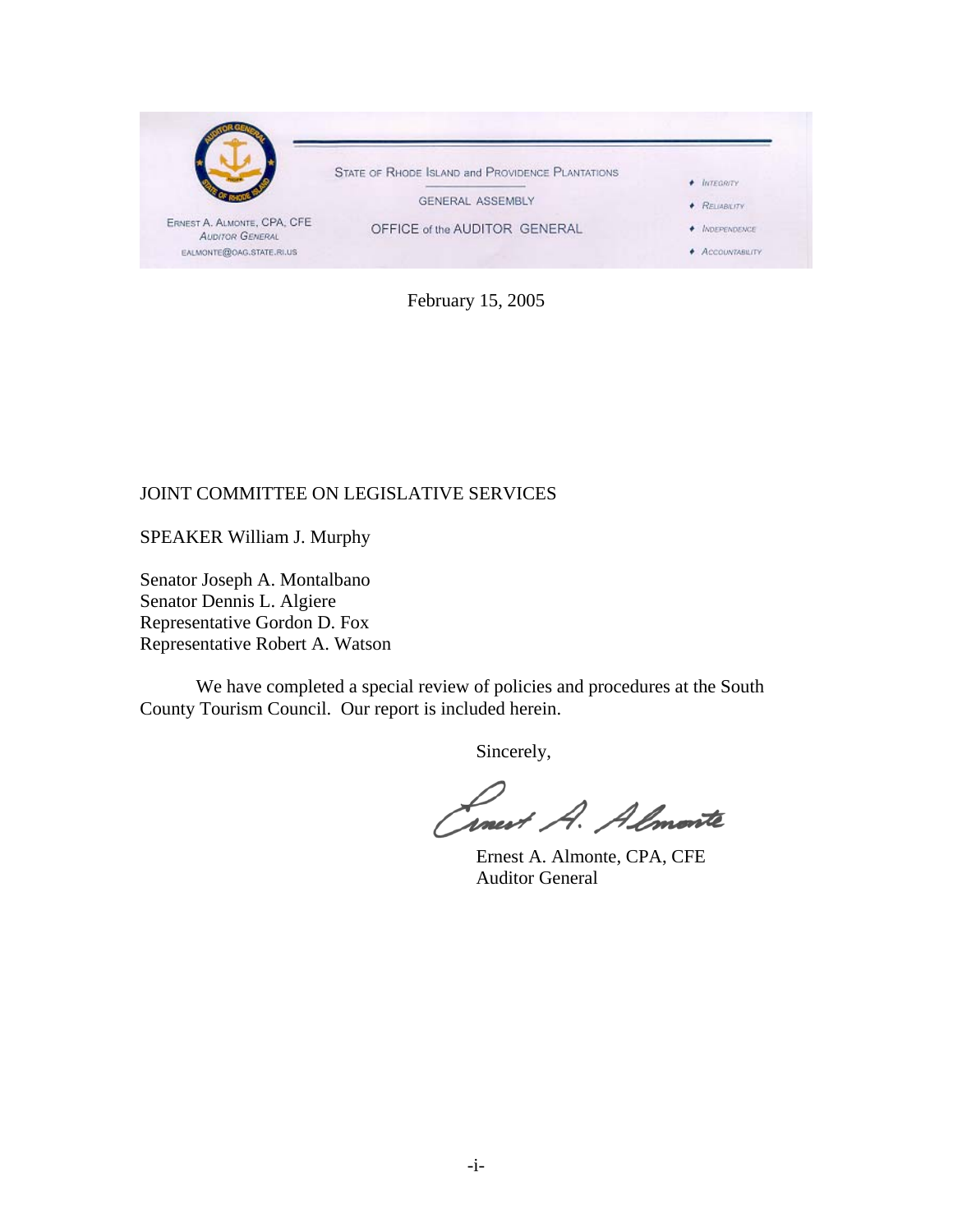

February 15, 2005

### JOINT COMMITTEE ON LEGISLATIVE SERVICES

SPEAKER William J. Murphy

Senator Joseph A. Montalbano Senator Dennis L. Algiere Representative Gordon D. Fox Representative Robert A. Watson

We have completed a special review of policies and procedures at the South County Tourism Council. Our report is included herein.

Sincerely,

Linest A. Almonte

 Ernest A. Almonte, CPA, CFE Auditor General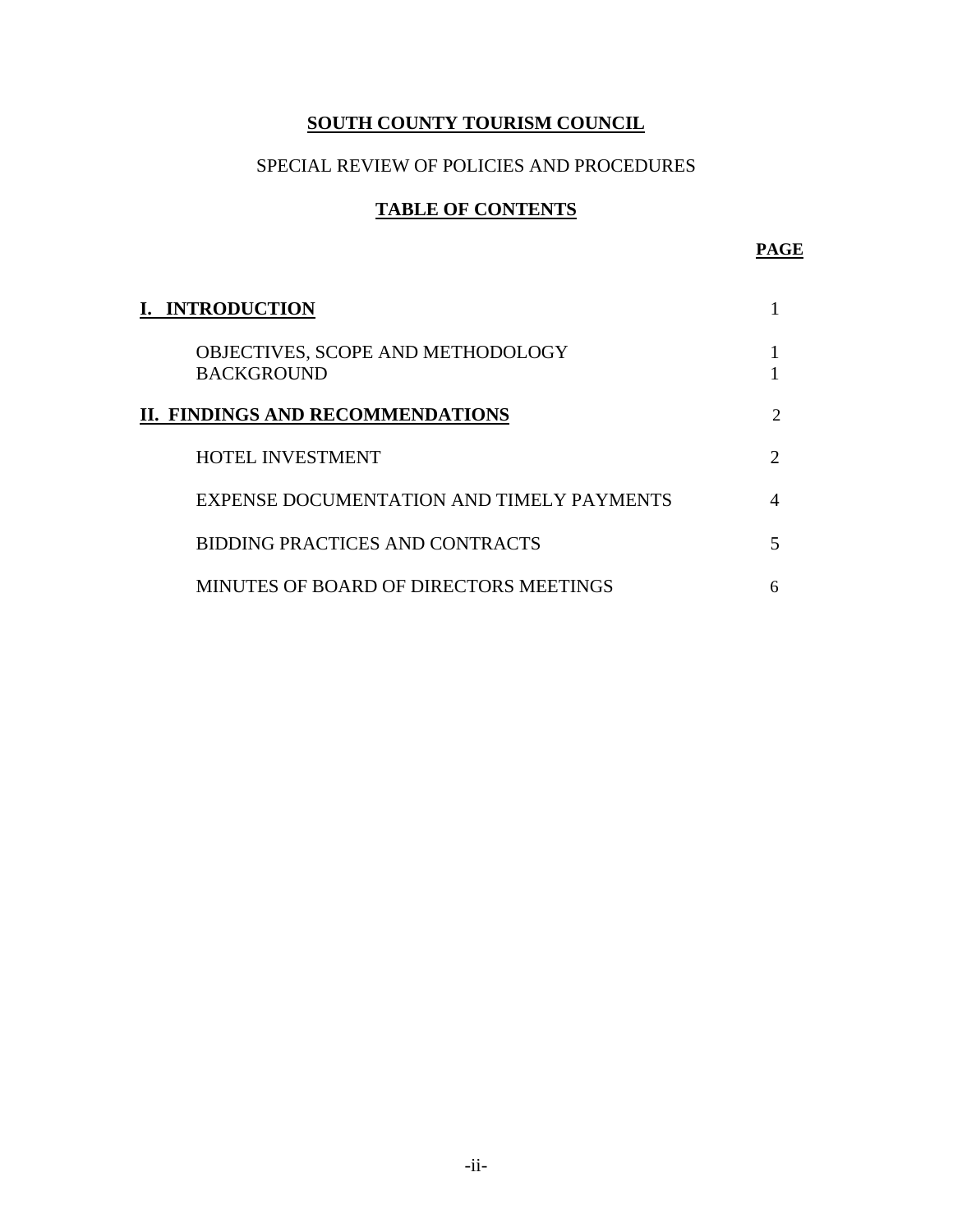# **SOUTH COUNTY TOURISM COUNCIL**

# SPECIAL REVIEW OF POLICIES AND PROCEDURES

# **TABLE OF CONTENTS**

| <b>I. INTRODUCTION</b>                                 |                             |
|--------------------------------------------------------|-----------------------------|
| OBJECTIVES, SCOPE AND METHODOLOGY<br><b>BACKGROUND</b> |                             |
| II. FINDINGS AND RECOMMENDATIONS                       | $\mathcal{D}$               |
| <b>HOTEL INVESTMENT</b>                                | $\mathcal{D}_{\mathcal{L}}$ |
| EXPENSE DOCUMENTATION AND TIMELY PAYMENTS              |                             |
| BIDDING PRACTICES AND CONTRACTS                        |                             |
| MINUTES OF BOARD OF DIRECTORS MEETINGS                 | 6                           |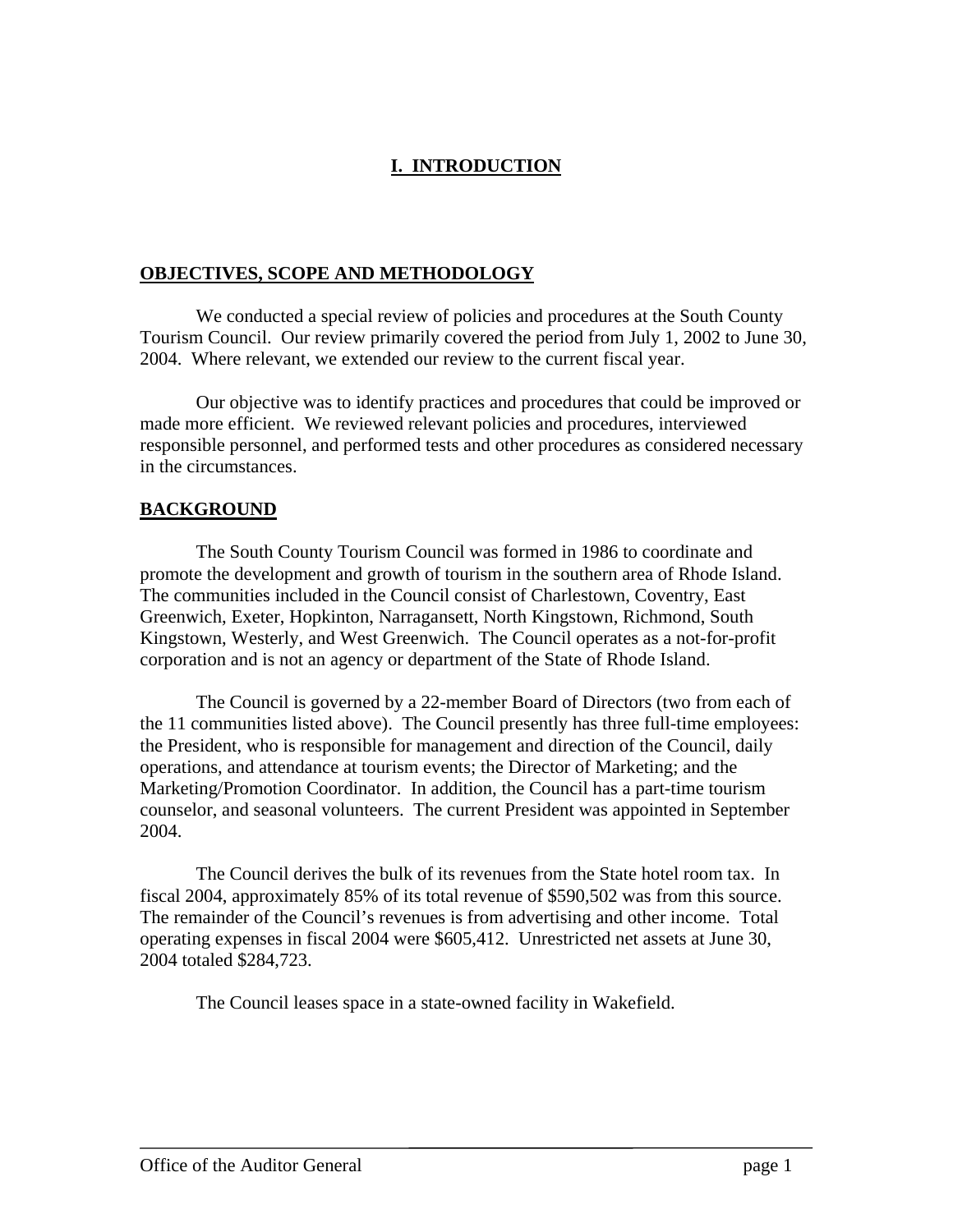# **I. INTRODUCTION**

### **OBJECTIVES, SCOPE AND METHODOLOGY**

Tourism Council. Our review primarily covered the period from July 1, 2002 to June 30, 2004. Where relevant, we extended our review to the current fiscal year. We conducted a special review of policies and procedures at the South County

respon sible personnel, and performed tests and other procedures as considered necessary in the c ircumstances. Our objective was to identify practices and procedures that could be improved or made more efficient. We reviewed relevant policies and procedures, interviewed

#### **BACK GROUND**

The South County Tourism Council was formed in 1986 to coordinate and promote the development and growth of tourism in the southern area of Rhode Island. The communities included in the Council consist of Charlestown, Coventry, East Greenwich, Exeter, Hopkinton, Narragansett, North Kingstown, Richmond, South Kingstown, Westerly, and West Greenwich. The Council operates as a not-for-profit corporation and is not an agency or department of the State of Rhode Island.

The Council is governed by a 22-member Board of Directors (two from each of the 11 communities listed above). The Council presently has three full-time employees: the President, who is responsible for management and direction of the Council, daily operations, and attendance at tourism events; the Director of Marketing; and the Marketing/Promotion Coordinator. In addition, the Council has a part-time tourism counselor, and seasonal volunteers. The current President was appointed in September 2004.

The Council derives the bulk of its revenues from the State hotel room tax. In fiscal 2004, approximately 85% of its total revenue of \$590,502 was from this source. The remainder of the Council's revenues is from advertising and other income. Total operating expenses in fiscal 2004 were \$605,412. Unrestricted net assets at June 30, 2004 totaled \$284,723.

The Council leases space in a state-owned facility in Wakefield.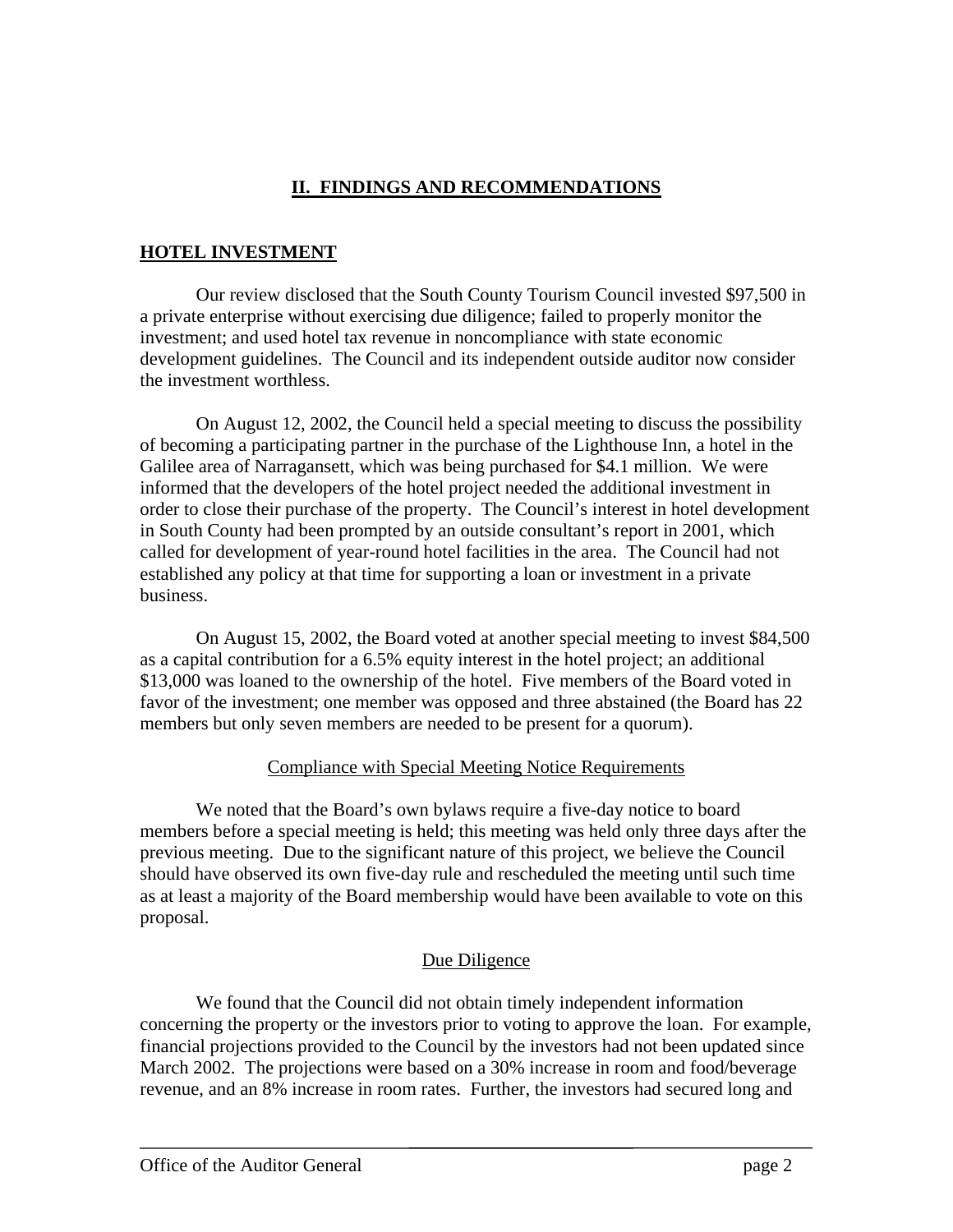## **II. FINDINGS AND RECOMMENDATIONS**

### **HOTEL INVESTMENT**

Our review disclosed that the South County Tourism Council invested \$97,500 in development guidelines. The Council and its independent outside auditor now consider the investment worthless. a private enterprise without exercising due diligence; failed to properly monitor the investment; and used hotel tax revenue in noncompliance with state economic

On August 12, 2002, the Council held a special meeting to discuss the possibility Galilee area of Narragansett, which was being purchased for \$4.1 million. We were formed that the developers of the hotel project needed the additional investment in in order to close their purchase of the property. The Council's interest in hotel development in South County had been prompted by an outside consultant's report in 2001, which called for development of year-round hotel facilities in the area. The Council had not of becoming a participating partner in the purchase of the Lighthouse Inn, a hotel in the established any policy at that time for supporting a loan or investment in a private business.

On August 15, 2002, the Board voted at another special meeting to invest \$84,500 as a capital contribution for a 6.5% equity interest in the hotel project; an additional \$13,000 was loaned to the ownership of the hotel. Five members of the Board voted in favor of the investment; one member was opposed and three abstained (the Board has 22 members but only seven members are needed to be present for a quorum).

### Compliance with Special Meeting Notice Requirements

We noted that the Board's own bylaws require a five-day notice to board members before a special meeting is held; this meeting was held only three days after the previous meeting. Due to the significant nature of this project, we believe the Council as at least a majority of the Board membership would have been available to vote on this should have observed its own five-day rule and rescheduled the meeting until such time proposal.

## Due Diligence

We found that the Council did not obtain timely independent information concerning the property or the investors prior to voting to approve the loan. For example, financial projections provided to the Council by the investors had not been updated since March 2002. The projections were based on a 30% increase in room and food/beverage revenue, and an 8% increase in room rates. Further, the investors had secured long and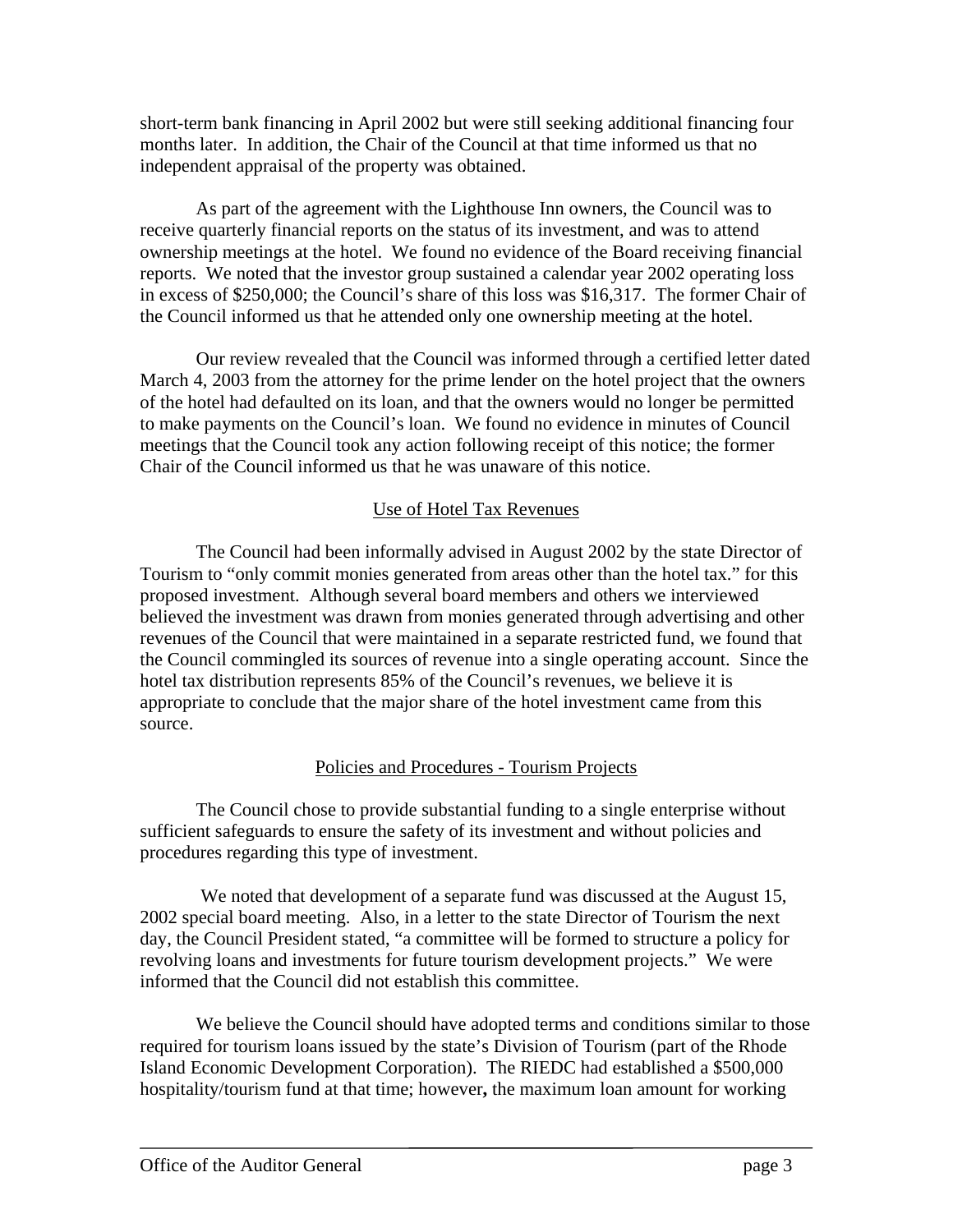short-term bank financing in April 2002 but were still seeking additional financing four months later. In addition, the Chair of the Council at that time informed us that no independent appraisal of the property was obtained.

As part of the agreement with the Lighthouse Inn owners, the Council was to receive quarterly financial reports on the status of its investment, and was to attend ownership meetings at the hotel. We found no evidence of the Board receiving financial reports. We noted that the investor group sustained a calendar year 2002 operating loss in excess of \$250,000; the Council's share of this loss was \$16,317. The former Chair of the Council informed us that he attended only one ownership meeting at the hotel.

March 4, 2003 from the attorney for the prime lender on the hotel project that the owners of the hotel had defaulted on its loan, and that the owners would no longer be permitted to make payments on the Council's loan. We found no evidence in minutes of Council Our review revealed that the Council was informed through a certified letter dated meetings that the Council took any action following receipt of this notice; the former Chair of the Council informed us that he was unaware of this notice.

## Use of Hotel Tax Revenues

The Council had been informally advised in August 2002 by the state Director of Tourism to "only commit monies generated from areas other than the hotel tax." for this proposed i nvestment. Although several board members and others we interviewed believed the investment was drawn from monies generated through advertising and other the Council commingled its sources of revenue into a single operating account. Since the revenues of the Council that were maintained in a separate restricted fund, we found that hotel tax distribution represents 85% of the Council's revenues, we believe it is appropriate to conclude that the major share of the hotel investment came from this source.

### Policies and Procedures - Tourism Projects

The Council chose to provide substantial funding to a single enterprise wi thout sufficient safeguards to ensure the safety of its investment and without policies and procedures regarding this type of investment.

 We noted that development of a separate fund was discussed at the August 15, 2002 speci al board meeting. Also, in a letter to the state Director of Tourism the next day, the Council President stated, "a committee will be formed to structure a policy for revolving loans and investments for future tourism development projects." We were informed that the Council did not establish this committee.

We believe the Council should have adopted terms and conditions similar to those required for tourism loans issued by the state's Division of Tourism (part of the Rhode Island Economic Development Corporation). The RIEDC had established a \$500,000 hospitality/tourism fund at that time; however**,** the maximum loan amount for working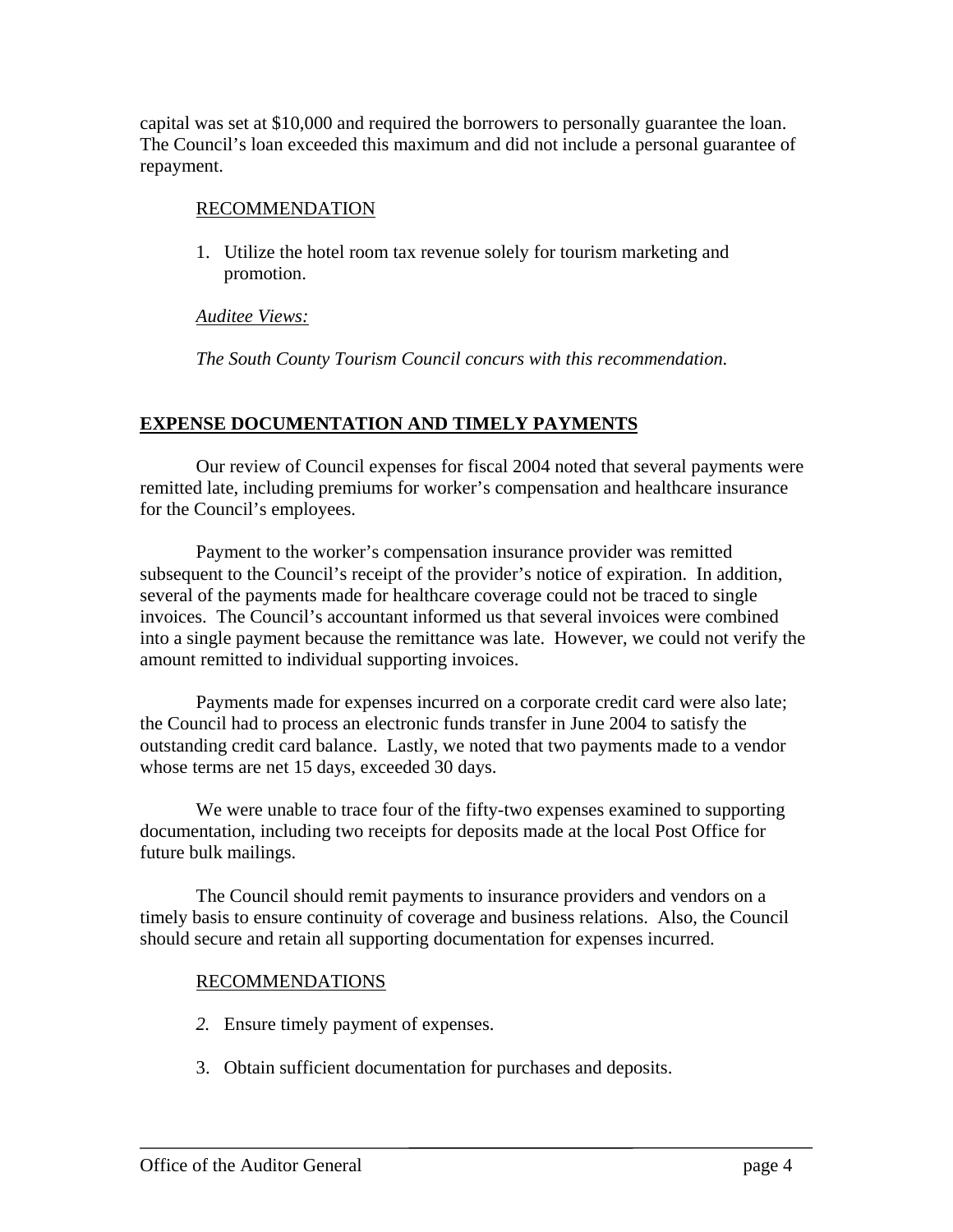capital was set at \$10,000 and required the borrowers to personally guarantee the loan. The Council's loan exceeded this maximum and did not include a personal guarante e of repayment.

#### RECOMMENDATION

1. Utilize the hotel room tax revenue solely for tourism marketing and promotion.

*Auditee Views:*

*The South County Tourism Council concurs with this recommendation.* 

## **EXPENSE DOCUMENTATION AND TIMELY PAYMENTS**

Our review of Council expenses for fiscal 2004 noted that several payments were remitted late, including premiums for worker's compensation and healthcare insurance for the Council's employees.

Payment to the worker's compensation insurance provider was remitted subsequent to the Council's receipt of the provider's notice of expiration. In addition, several of the payments made for healthcare coverage could not be traced to single invoices. The Council's accountant informed us that several invoices were combined into a single payment because the remittance was late. However, we could not verify the amount remitted to individual supporting invoices.

Payments made for expenses incurred on a corporate credit card were also late; the Council had to process an electronic funds transfer in June 2004 to satisfy the outstanding credit card balance. Lastly, we noted that two payments made to a vendor whose terms are net 15 days, exceeded 30 days.

We were unable to trace four of the fifty-two expenses examined to supporting documentation, including two receipts for deposits made at the local Post Office for future bulk mailings.

The Council should remit payments to insurance providers and vendors on a timely basis to ensure continuity of coverage and business relations. Also, the Council should secure and retain all supporting documentation for expenses incurred.

## RECOMMENDATIONS

- *2.* Ensure timely payment of expenses.
- 3. Obtain sufficient documentation for purchases and deposits.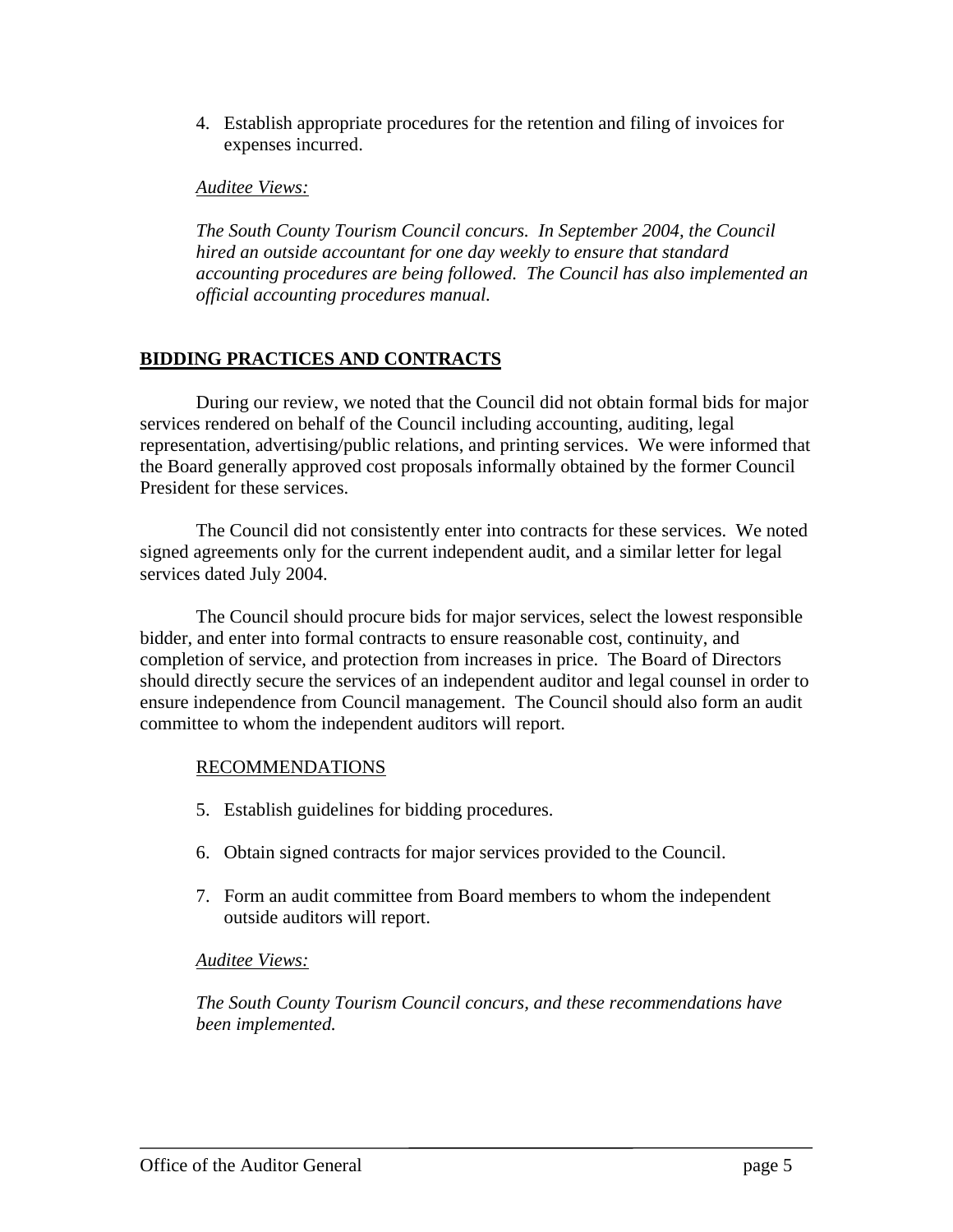4. Establish appropriate procedures for the retention and filing of invoices for expenses incurred.

#### *Auditee Views:*

*he South County Tourism Council concurs. In September 2004, the Council T accounting procedures are being followed. The Council has also implemented an ficial accounting procedures manual. of hired an outside accountant for one day weekly to ensure that standard* 

### **BIDDI NG PRACTICES AND CONTRACTS**

During our review, we noted that the Council did not obtain formal bids for major services rendered on behalf of the Council including accounting, auditing, legal representation, advertising/public relations, and printing services. We were informed that the Board generally approved cost proposals informally obtained by the former Council President for these services.

The Council did not consistently enter into contracts for these services. We noted signed agreements only for the current independent audit, and a similar letter for legal services dated July 2004.

The Council should procure bids for major services, select the lowest responsible completion of service, and protection from increases in price. The Board of Directors should directly secure the services of an independent auditor and legal counsel in order to ensure independence from Council management. The Council should also form an audit bidder, and enter into formal contracts to ensure reasonable cost, continuity, and committee to whom the independent auditors will report.

## RECOMMENDATIONS

- 5. Establish guidelines for bidding procedures.
- 6. Obtain signed contracts for major services provided to the Council.
- 7. Form an audit committee from Board members to whom the independent outside auditors will report.

### *Auditee Views:*

*The South County Tourism Council concurs, and these recommendations have been implemented.*